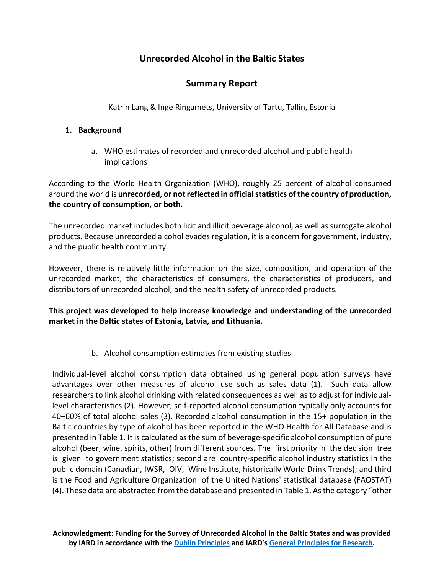# **Unrecorded Alcohol in the Baltic States**

# **Summary Report**

Katrin Lang & Inge Ringamets, University of Tartu, Tallin, Estonia

# **1. Background**

a. WHO estimates of recorded and unrecorded alcohol and public health implications

According to the World Health Organization (WHO), roughly 25 percent of alcohol consumed around the world is **unrecorded, or not reflected in official statistics of the country of production, the country of consumption, or both.** 

The unrecorded market includes both licit and illicit beverage alcohol, as well as surrogate alcohol products. Because unrecorded alcohol evades regulation, it is a concern for government, industry, and the public health community.

However, there is relatively little information on the size, composition, and operation of the unrecorded market, the characteristics of consumers, the characteristics of producers, and distributors of unrecorded alcohol, and the health safety of unrecorded products.

**This project was developed to help increase knowledge and understanding of the unrecorded market in the Baltic states of Estonia, Latvia, and Lithuania.** 

b. Alcohol consumption estimates from existing studies

Individual-level alcohol consumption data obtained using general population surveys have advantages over other measures of alcohol use such as sales data (1). Such data allow researchers to link alcohol drinking with related consequences as well as to adjust for individuallevel characteristics (2). However, self-reported alcohol consumption typically only accounts for 40–60% of total alcohol sales (3). Recorded alcohol consumption in the 15+ population in the Baltic countries by type of alcohol has been reported in the WHO Health for All Database and is presented in Table 1. It is calculated as the sum of beverage-specific alcohol consumption of pure alcohol (beer, wine, spirits, other) from different sources. The first priority in the decision tree is given to government statistics; second are country-specific alcohol industry statistics in the public domain (Canadian, IWSR, OIV, Wine Institute, historically World Drink Trends); and third is the Food and Agriculture Organization of the United Nations' statistical database (FAOSTAT) (4). These data are abstracted from the database and presented in Table 1. As the category "other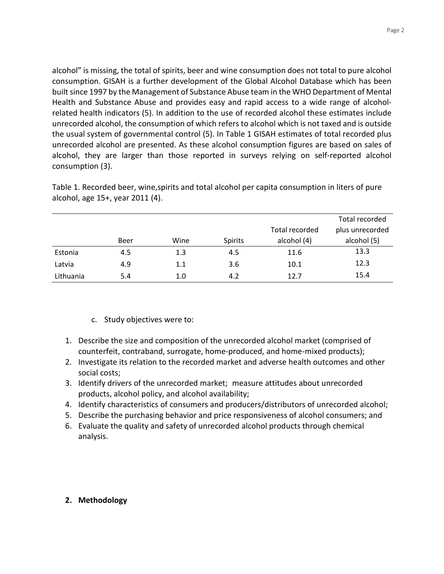alcohol" is missing, the total of spirits, beer and wine consumption does not total to pure alcohol consumption. GISAH is a further development of the Global Alcohol Database which has been built since 1997 by the Management of Substance Abuse team in the WHO Department of Mental Health and Substance Abuse and provides easy and rapid access to a wide range of alcoholrelated health indicators (5). In addition to the use of recorded alcohol these estimates include unrecorded alcohol, the consumption of which refers to alcohol which is not taxed and is outside the usual system of governmental control (5). In Table 1 GISAH estimates of total recorded plus unrecorded alcohol are presented. As these alcohol consumption figures are based on sales of alcohol, they are larger than those reported in surveys relying on self-reported alcohol consumption (3).

|           |      |      |                |                | Total recorded  |
|-----------|------|------|----------------|----------------|-----------------|
|           |      |      |                | Total recorded | plus unrecorded |
|           | Beer | Wine | <b>Spirits</b> | alcohol (4)    | alcohol (5)     |
| Estonia   | 4.5  | 1.3  | 4.5            | 11.6           | 13.3            |
| Latvia    | 4.9  | 1.1  | 3.6            | 10.1           | 12.3            |
| Lithuania | 5.4  | 1.0  | 4.2            | 12.7           | 15.4            |

Table 1. Recorded beer, wine,spirits and total alcohol per capita consumption in liters of pure alcohol, age 15+, year 2011 (4).

- c. Study objectives were to:
- 1. Describe the size and composition of the unrecorded alcohol market (comprised of counterfeit, contraband, surrogate, home-produced, and home-mixed products);
- 2. Investigate its relation to the recorded market and adverse health outcomes and other social costs;
- 3. Identify drivers of the unrecorded market; measure attitudes about unrecorded products, alcohol policy, and alcohol availability;
- 4. Identify characteristics of consumers and producers/distributors of unrecorded alcohol;
- 5. Describe the purchasing behavior and price responsiveness of alcohol consumers; and
- 6. Evaluate the quality and safety of unrecorded alcohol products through chemical analysis.

# **2. Methodology**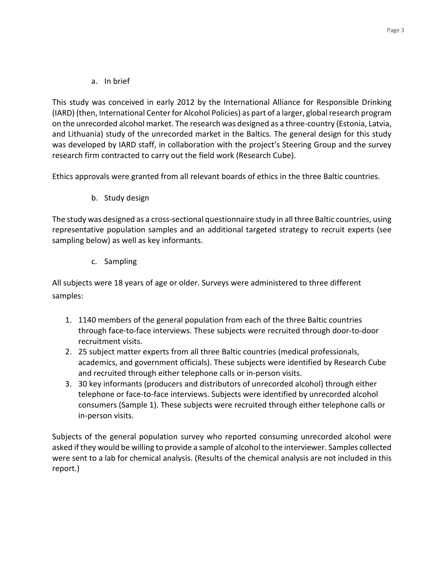a. In brief

This study was conceived in early 2012 by the International Alliance for Responsible Drinking (IARD) (then, International Center for Alcohol Policies) as part of a larger, global research program on the unrecorded alcohol market. The research was designed as a three-country (Estonia, Latvia, and Lithuania) study of the unrecorded market in the Baltics. The general design for this study was developed by IARD staff, in collaboration with the project's Steering Group and the survey research firm contracted to carry out the field work (Research Cube).

Ethics approvals were granted from all relevant boards of ethics in the three Baltic countries.

b. Study design

The study was designed as a cross-sectional questionnaire study in all three Baltic countries, using representative population samples and an additional targeted strategy to recruit experts (see sampling below) as well as key informants.

c. Sampling

All subjects were 18 years of age or older. Surveys were administered to three different samples:

- 1. 1140 members of the general population from each of the three Baltic countries through face-to-face interviews. These subjects were recruited through door-to-door recruitment visits.
- 2. 25 subject matter experts from all three Baltic countries (medical professionals, academics, and government officials). These subjects were identified by Research Cube and recruited through either telephone calls or in-person visits.
- 3. 30 key informants (producers and distributors of unrecorded alcohol) through either telephone or face-to-face interviews. Subjects were identified by unrecorded alcohol consumers (Sample 1). These subjects were recruited through either telephone calls or in-person visits.

Subjects of the general population survey who reported consuming unrecorded alcohol were asked if they would be willing to provide a sample of alcohol to the interviewer. Samples collected were sent to a lab for chemical analysis. (Results of the chemical analysis are not included in this report.)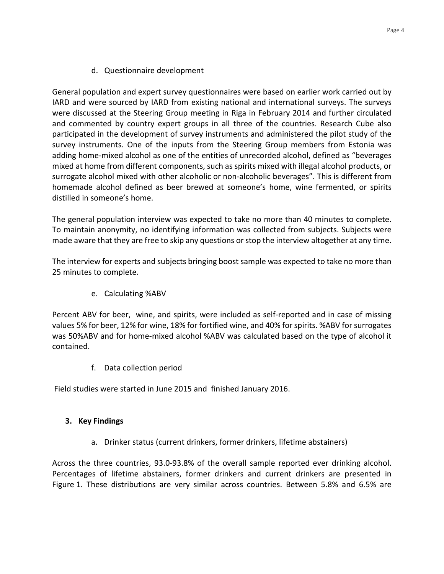d. Questionnaire development

General population and expert survey questionnaires were based on earlier work carried out by IARD and were sourced by IARD from existing national and international surveys. The surveys were discussed at the Steering Group meeting in Riga in February 2014 and further circulated and commented by country expert groups in all three of the countries. Research Cube also participated in the development of survey instruments and administered the pilot study of the survey instruments. One of the inputs from the Steering Group members from Estonia was adding home-mixed alcohol as one of the entities of unrecorded alcohol, defined as "beverages mixed at home from different components, such as spirits mixed with illegal alcohol products, or surrogate alcohol mixed with other alcoholic or non-alcoholic beverages". This is different from homemade alcohol defined as beer brewed at someone's home, wine fermented, or spirits distilled in someone's home.

The general population interview was expected to take no more than 40 minutes to complete. To maintain anonymity, no identifying information was collected from subjects. Subjects were made aware that they are free to skip any questions or stop the interview altogether at any time.

The interview for experts and subjects bringing boost sample was expected to take no more than 25 minutes to complete.

e. Calculating %ABV

Percent ABV for beer, wine, and spirits, were included as self-reported and in case of missing values 5% for beer, 12% for wine, 18% for fortified wine, and 40% for spirits. %ABV for surrogates was 50%ABV and for home-mixed alcohol %ABV was calculated based on the type of alcohol it contained.

f. Data collection period

Field studies were started in June 2015 and finished January 2016.

## **3. Key Findings**

a. Drinker status (current drinkers, former drinkers, lifetime abstainers)

Across the three countries, 93.0-93.8% of the overall sample reported ever drinking alcohol. Percentages of lifetime abstainers, former drinkers and current drinkers are presented in Figure 1. These distributions are very similar across countries. Between 5.8% and 6.5% are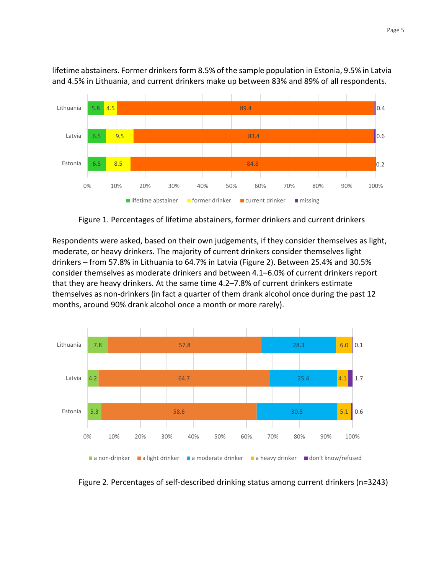

lifetime abstainers. Former drinkers form 8.5% of the sample population in Estonia, 9.5% in Latvia and 4.5% in Lithuania, and current drinkers make up between 83% and 89% of all respondents.

Figure 1. Percentages of lifetime abstainers, former drinkers and current drinkers

Respondents were asked, based on their own judgements, if they consider themselves as light, moderate, or heavy drinkers. The majority of current drinkers consider themselves light drinkers – from 57.8% in Lithuania to 64.7% in Latvia (Figure 2). Between 25.4% and 30.5% consider themselves as moderate drinkers and between 4.1–6.0% of current drinkers report that they are heavy drinkers. At the same time 4.2–7.8% of current drinkers estimate themselves as non-drinkers (in fact a quarter of them drank alcohol once during the past 12 months, around 90% drank alcohol once a month or more rarely).



Figure 2. Percentages of self-described drinking status among current drinkers (n=3243)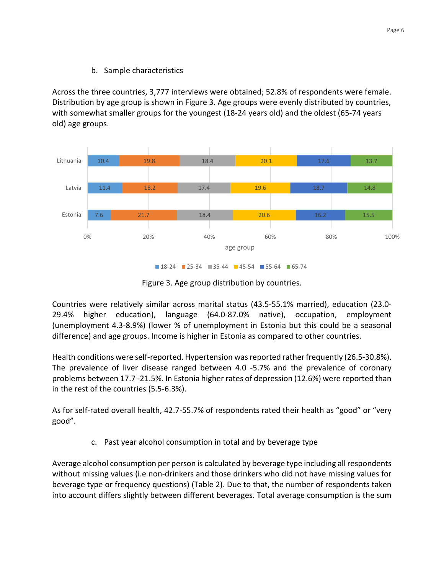# b. Sample characteristics

Across the three countries, 3,777 interviews were obtained; 52.8% of respondents were female. Distribution by age group is shown in Figure 3. Age groups were evenly distributed by countries, with somewhat smaller groups for the youngest (18-24 years old) and the oldest (65-74 years old) age groups.



 $18-24$  25-34 35-44 45-54 55-64 65-74

Figure 3. Age group distribution by countries.

Countries were relatively similar across marital status (43.5-55.1% married), education (23.0- 29.4% higher education), language (64.0-87.0% native), occupation, employment (unemployment 4.3-8.9%) (lower % of unemployment in Estonia but this could be a seasonal difference) and age groups. Income is higher in Estonia as compared to other countries.

Health conditions were self-reported. Hypertension was reported rather frequently (26.5-30.8%). The prevalence of liver disease ranged between 4.0 -5.7% and the prevalence of coronary problems between 17.7 -21.5%. In Estonia higher rates of depression (12.6%) were reported than in the rest of the countries (5.5-6.3%).

As for self-rated overall health, 42.7-55.7% of respondents rated their health as "good" or "very good".

c. Past year alcohol consumption in total and by beverage type

Average alcohol consumption per person is calculated by beverage type including all respondents without missing values (i.e non-drinkers and those drinkers who did not have missing values for beverage type or frequency questions) (Table 2). Due to that, the number of respondents taken into account differs slightly between different beverages. Total average consumption is the sum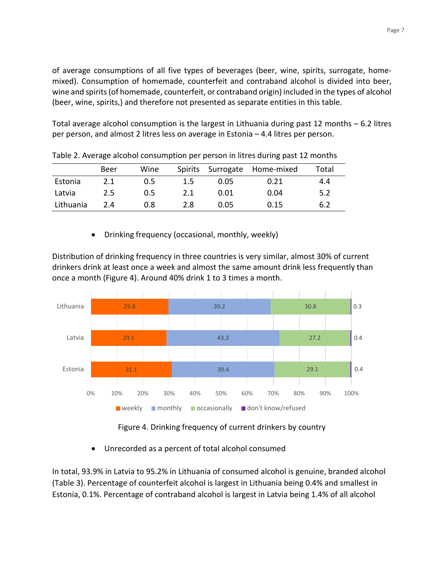of average consumptions of all five types of beverages (beer, wine, spirits, surrogate, homemixed). Consumption of homemade, counterfeit and contraband alcohol is divided into beer, wine and spirits (of homemade, counterfeit, or contraband origin) included in the types of alcohol (beer, wine, spirits,) and therefore not presented as separate entities in this table.

Total average alcohol consumption is the largest in Lithuania during past 12 months – 6.2 litres per person, and almost 2 litres less on average in Estonia – 4.4 litres per person.

|           | Beer | Wine |         |      | Spirits Surrogate Home-mixed | Total |
|-----------|------|------|---------|------|------------------------------|-------|
| Estonia   | 2.1  | 0.5  | $1.5\,$ | 0.05 | 0.21                         | 4.4   |
| Latvia    | 2.5  | 0.5  | 2.1     | 0.01 | 0.04                         | 5.2   |
| Lithuania | 2.4  | 0.8  | 2.8     | 0.05 | 0.15                         | 6.2   |

Table 2. Average alcohol consumption per person in litres during past 12 months

• Drinking frequency (occasional, monthly, weekly)

Distribution of drinking frequency in three countries is very similar, almost 30% of current drinkers drink at least once a week and almost the same amount drink less frequently than once a month (Figure 4). Around 40% drink 1 to 3 times a month.



Figure 4. Drinking frequency of current drinkers by country

• Unrecorded as a percent of total alcohol consumed

In total, 93.9% in Latvia to 95.2% in Lithuania of consumed alcohol is genuine, branded alcohol (Table 3). Percentage of counterfeit alcohol is largest in Lithuania being 0.4% and smallest in Estonia, 0.1%. Percentage of contraband alcohol is largest in Latvia being 1.4% of all alcohol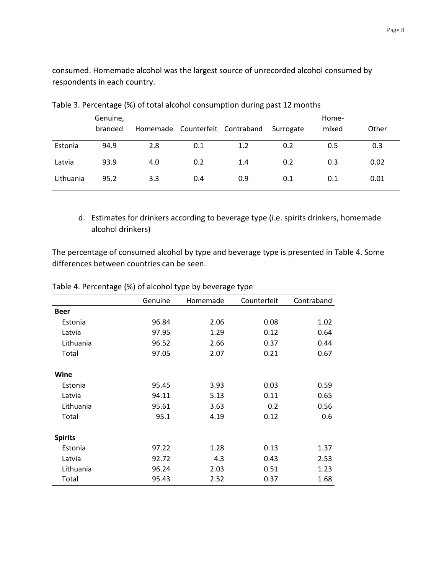consumed. Homemade alcohol was the largest source of unrecorded alcohol consumed by respondents in each country.

|           | Genuine, |     |     | Home-                                     |     |       |       |
|-----------|----------|-----|-----|-------------------------------------------|-----|-------|-------|
|           | branded  |     |     | Homemade Counterfeit Contraband Surrogate |     | mixed | Other |
| Estonia   | 94.9     | 2.8 | 0.1 | 1.2                                       | 0.2 | 0.5   | 0.3   |
| Latvia    | 93.9     | 4.0 | 0.2 | 1.4                                       | 0.2 | 0.3   | 0.02  |
| Lithuania | 95.2     | 3.3 | 0.4 | 0.9                                       | 0.1 | 0.1   | 0.01  |

Table 3. Percentage (%) of total alcohol consumption during past 12 months

d. Estimates for drinkers according to beverage type (i.e. spirits drinkers, homemade alcohol drinkers)

The percentage of consumed alcohol by type and beverage type is presented in Table 4. Some differences between countries can be seen.

|                | Genuine | Homemade | Counterfeit | Contraband |
|----------------|---------|----------|-------------|------------|
| <b>Beer</b>    |         |          |             |            |
| Estonia        | 96.84   | 2.06     | 0.08        | 1.02       |
| Latvia         | 97.95   | 1.29     | 0.12        | 0.64       |
| Lithuania      | 96.52   | 2.66     | 0.37        | 0.44       |
| Total          | 97.05   | 2.07     | 0.21        | 0.67       |
| Wine           |         |          |             |            |
| Estonia        | 95.45   | 3.93     | 0.03        | 0.59       |
| Latvia         | 94.11   | 5.13     | 0.11        | 0.65       |
| Lithuania      | 95.61   | 3.63     | 0.2         | 0.56       |
| Total          | 95.1    | 4.19     | 0.12        | 0.6        |
| <b>Spirits</b> |         |          |             |            |
| Estonia        | 97.22   | 1.28     | 0.13        | 1.37       |
| Latvia         | 92.72   | 4.3      | 0.43        | 2.53       |
| Lithuania      | 96.24   | 2.03     | 0.51        | 1.23       |
| Total          | 95.43   | 2.52     | 0.37        | 1.68       |

### Table 4. Percentage (%) of alcohol type by beverage type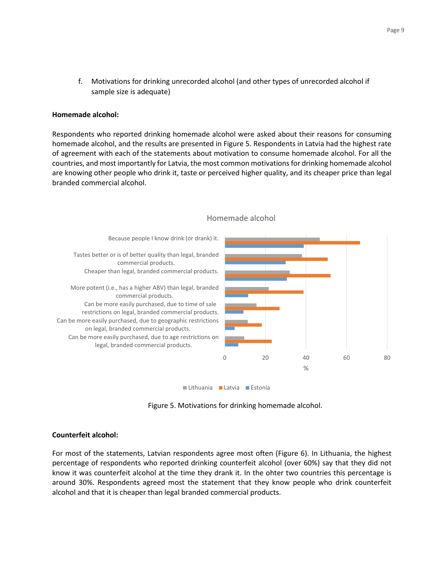f. Motivations for drinking unrecorded alcohol (and other types of unrecorded alcohol if sample size is adequate)

#### **Homemade alcohol:**

Respondents who reported drinking homemade alcohol were asked about their reasons for consuming homemade alcohol, and the results are presented in Figure 5. Respondents in Latvia had the highest rate of agreement with each of the statements about motivation to consume homemade alcohol. For all the countries, and most importantly for Latvia, the most common motivations for drinking homemade alcohol are knowing other people who drink it, taste or perceived higher quality, and its cheaper price than legal branded commercial alcohol.



#### Homemade alcohol

Figure 5. Motivations for drinking homemade alcohol.

#### **Counterfeit alcohol:**

For most of the statements, Latvian respondents agree most often (Figure 6). In Lithuania, the highest percentage of respondents who reported drinking counterfeit alcohol (over 60%) say that they did not know it was counterfeit alcohol at the time they drank it. In the ohter two countries this percentage is around 30%. Respondents agreed most the statement that they know people who drink counterfeit alcohol and that it is cheaper than legal branded commercial products.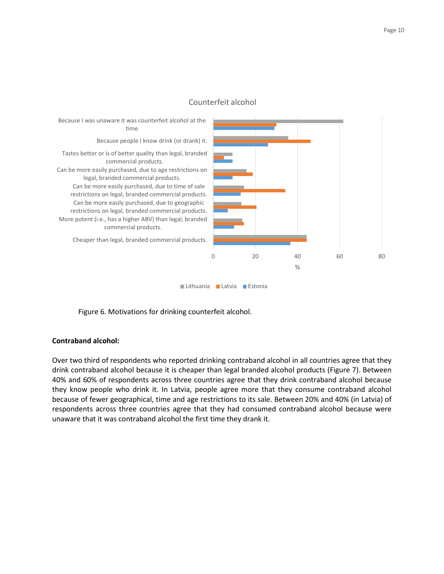

#### Counterfeit alcohol

Figure 6. Motivations for drinking counterfeit alcohol.

#### **Contraband alcohol:**

Over two third of respondents who reported drinking contraband alcohol in all countries agree that they drink contraband alcohol because it is cheaper than legal branded alcohol products (Figure 7). Between 40% and 60% of respondents across three countries agree that they drink contraband alcohol because they know people who drink it. In Latvia, people agree more that they consume contraband alcohol because of fewer geographical, time and age restrictions to its sale. Between 20% and 40% (in Latvia) of respondents across three countries agree that they had consumed contraband alcohol because were unaware that it was contraband alcohol the first time they drank it.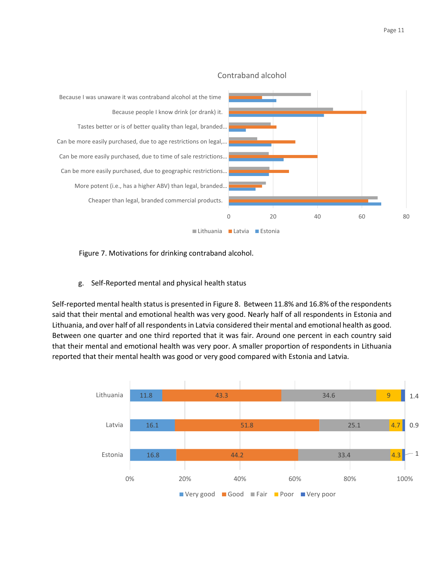

### Contraband alcohol

Figure 7. Motivations for drinking contraband alcohol.

g. Self-Reported mental and physical health status

Self-reported mental health status is presented in Figure 8. Between 11.8% and 16.8% of the respondents said that their mental and emotional health was very good. Nearly half of all respondents in Estonia and Lithuania, and over half of all respondents in Latvia considered their mental and emotional health as good. Between one quarter and one third reported that it was fair. Around one percent in each country said that their mental and emotional health was very poor. A smaller proportion of respondents in Lithuania reported that their mental health was good or very good compared with Estonia and Latvia.

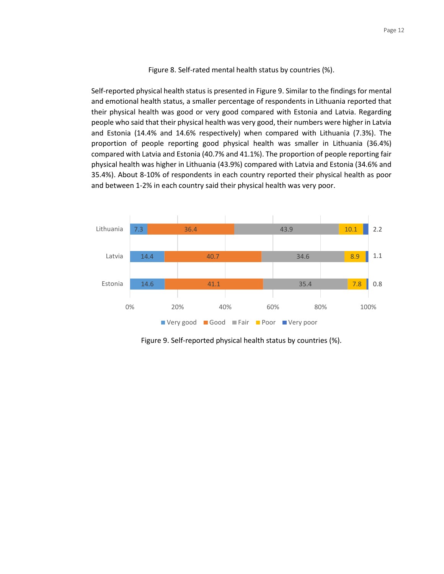Page 12

Figure 8. Self-rated mental health status by countries (%).

Self-reported physical health status is presented in Figure 9. Similar to the findings for mental and emotional health status, a smaller percentage of respondents in Lithuania reported that their physical health was good or very good compared with Estonia and Latvia. Regarding people who said that their physical health was very good, their numbers were higher in Latvia and Estonia (14.4% and 14.6% respectively) when compared with Lithuania (7.3%). The proportion of people reporting good physical health was smaller in Lithuania (36.4%) compared with Latvia and Estonia (40.7% and 41.1%). The proportion of people reporting fair physical health was higher in Lithuania (43.9%) compared with Latvia and Estonia (34.6% and 35.4%). About 8-10% of respondents in each country reported their physical health as poor and between 1-2% in each country said their physical health was very poor.



Figure 9. Self-reported physical health status by countries (%).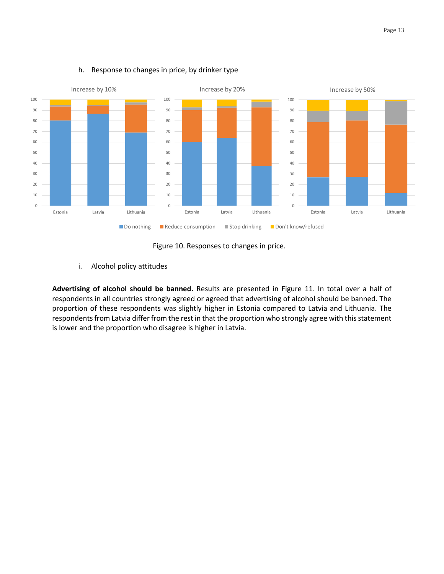

#### h. Response to changes in price, by drinker type

Figure 10. Responses to changes in price.

i. Alcohol policy attitudes

**Advertising of alcohol should be banned.** Results are presented in Figure 11. In total over a half of respondents in all countries strongly agreed or agreed that advertising of alcohol should be banned. The proportion of these respondents was slightly higher in Estonia compared to Latvia and Lithuania. The respondents from Latvia differ from the rest in that the proportion who strongly agree with this statement is lower and the proportion who disagree is higher in Latvia.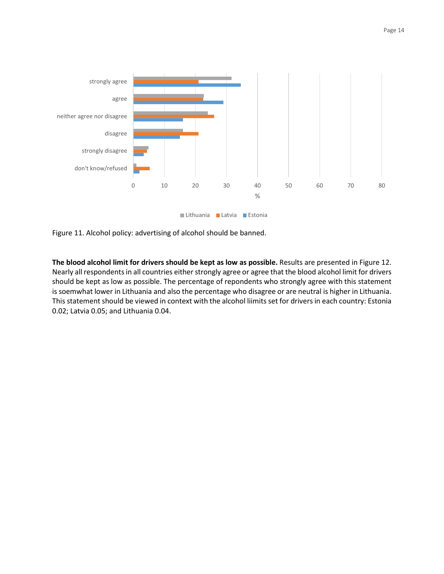

Figure 11. Alcohol policy: advertising of alcohol should be banned.

**The blood alcohol limit for drivers should be kept as low as possible.** Results are presented in Figure 12. Nearly all respondents in all countries either strongly agree or agree that the blood alcohol limit for drivers should be kept as low as possible. The percentage of repondents who strongly agree with this statement is soemwhat lower in Lithuania and also the percentage who disagree or are neutral is higher in Lithuania. This statement should be viewed in context with the alcohol liimits set for drivers in each country: Estonia 0.02; Latvia 0.05; and Lithuania 0.04.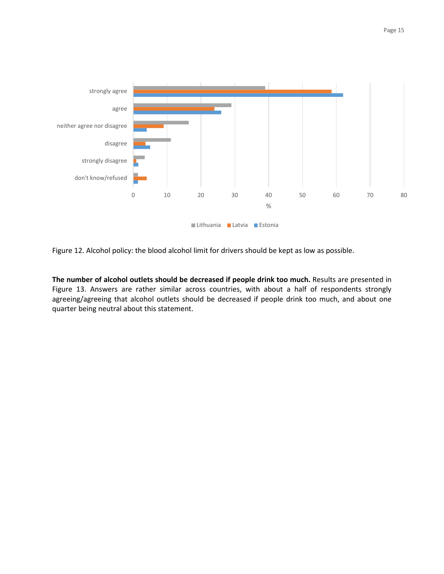

Figure 12. Alcohol policy: the blood alcohol limit for drivers should be kept as low as possible.

**The number of alcohol outlets should be decreased if people drink too much.** Results are presented in Figure 13. Answers are rather similar across countries, with about a half of respondents strongly agreeing/agreeing that alcohol outlets should be decreased if people drink too much, and about one quarter being neutral about this statement.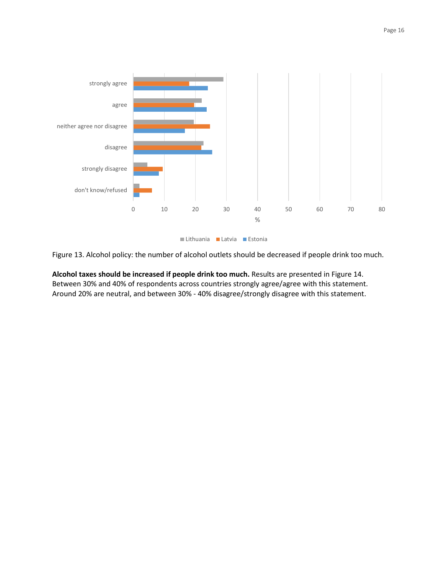



Lithuania Latvia Estonia

Figure 13. Alcohol policy: the number of alcohol outlets should be decreased if people drink too much.

**Alcohol taxes should be increased if people drink too much.** Results are presented in Figure 14. Between 30% and 40% of respondents across countries strongly agree/agree with this statement. Around 20% are neutral, and between 30% - 40% disagree/strongly disagree with this statement.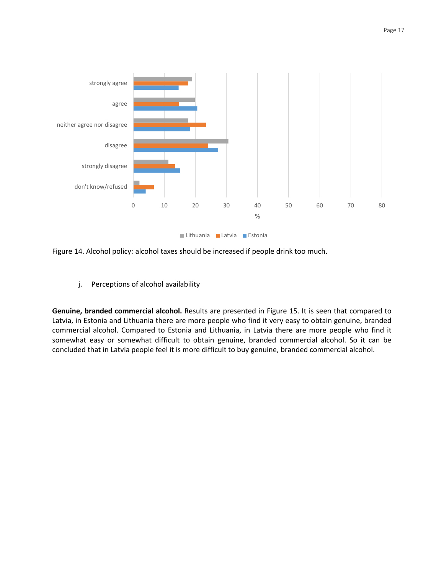



Figure 14. Alcohol policy: alcohol taxes should be increased if people drink too much.

j. Perceptions of alcohol availability

**Genuine, branded commercial alcohol.** Results are presented in Figure 15. It is seen that compared to Latvia, in Estonia and Lithuania there are more people who find it very easy to obtain genuine, branded commercial alcohol. Compared to Estonia and Lithuania, in Latvia there are more people who find it somewhat easy or somewhat difficult to obtain genuine, branded commercial alcohol. So it can be concluded that in Latvia people feel it is more difficult to buy genuine, branded commercial alcohol.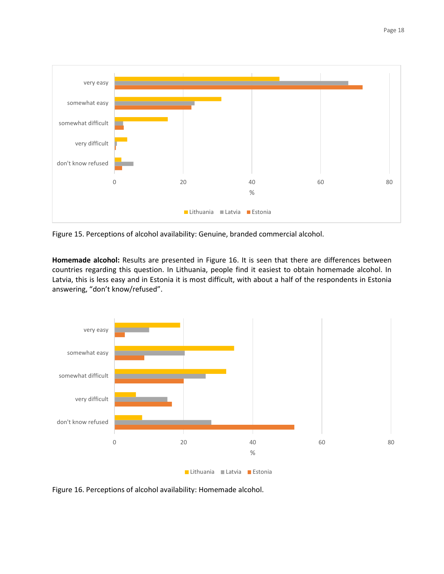

Figure 15. Perceptions of alcohol availability: Genuine, branded commercial alcohol.

**Homemade alcohol:** Results are presented in Figure 16. It is seen that there are differences between countries regarding this question. In Lithuania, people find it easiest to obtain homemade alcohol. In Latvia, this is less easy and in Estonia it is most difficult, with about a half of the respondents in Estonia answering, "don't know/refused".



Figure 16. Perceptions of alcohol availability: Homemade alcohol.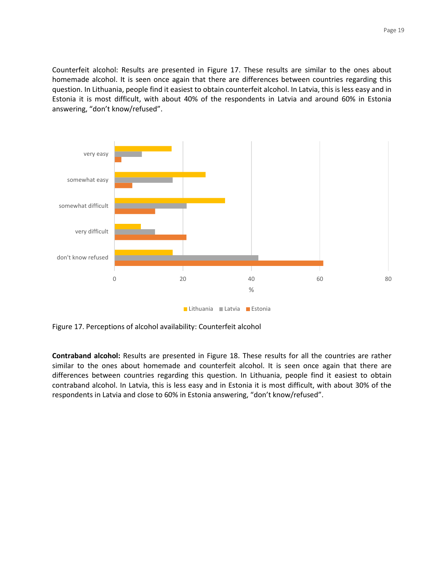Counterfeit alcohol: Results are presented in Figure 17. These results are similar to the ones about homemade alcohol. It is seen once again that there are differences between countries regarding this question. In Lithuania, people find it easiest to obtain counterfeit alcohol. In Latvia, this is less easy and in Estonia it is most difficult, with about 40% of the respondents in Latvia and around 60% in Estonia answering, "don't know/refused".



Figure 17. Perceptions of alcohol availability: Counterfeit alcohol

**Contraband alcohol:** Results are presented in Figure 18. These results for all the countries are rather similar to the ones about homemade and counterfeit alcohol. It is seen once again that there are differences between countries regarding this question. In Lithuania, people find it easiest to obtain contraband alcohol. In Latvia, this is less easy and in Estonia it is most difficult, with about 30% of the respondents in Latvia and close to 60% in Estonia answering, "don't know/refused".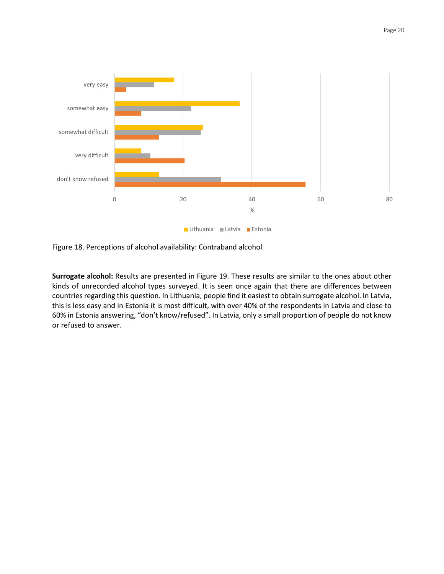

Figure 18. Perceptions of alcohol availability: Contraband alcohol

**Surrogate alcohol:** Results are presented in Figure 19. These results are similar to the ones about other kinds of unrecorded alcohol types surveyed. It is seen once again that there are differences between countries regarding this question. In Lithuania, people find it easiest to obtain surrogate alcohol. In Latvia, this is less easy and in Estonia it is most difficult, with over 40% of the respondents in Latvia and close to 60% in Estonia answering, "don't know/refused". In Latvia, only a small proportion of people do not know or refused to answer.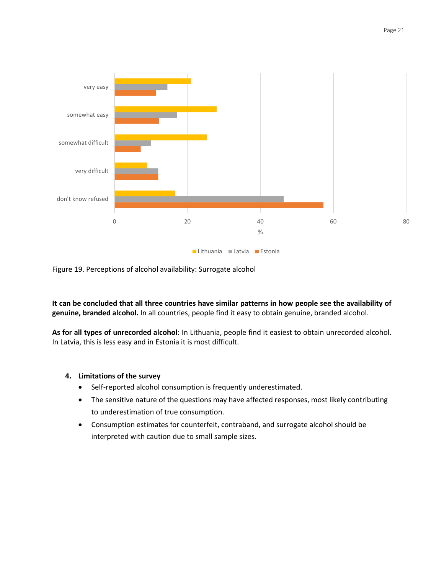

Figure 19. Perceptions of alcohol availability: Surrogate alcohol

**It can be concluded that all three countries have similar patterns in how people see the availability of genuine, branded alcohol.** In all countries, people find it easy to obtain genuine, branded alcohol.

**As for all types of unrecorded alcohol**: In Lithuania, people find it easiest to obtain unrecorded alcohol. In Latvia, this is less easy and in Estonia it is most difficult.

#### **4. Limitations of the survey**

- Self-reported alcohol consumption is frequently underestimated.
- The sensitive nature of the questions may have affected responses, most likely contributing to underestimation of true consumption.
- Consumption estimates for counterfeit, contraband, and surrogate alcohol should be interpreted with caution due to small sample sizes.